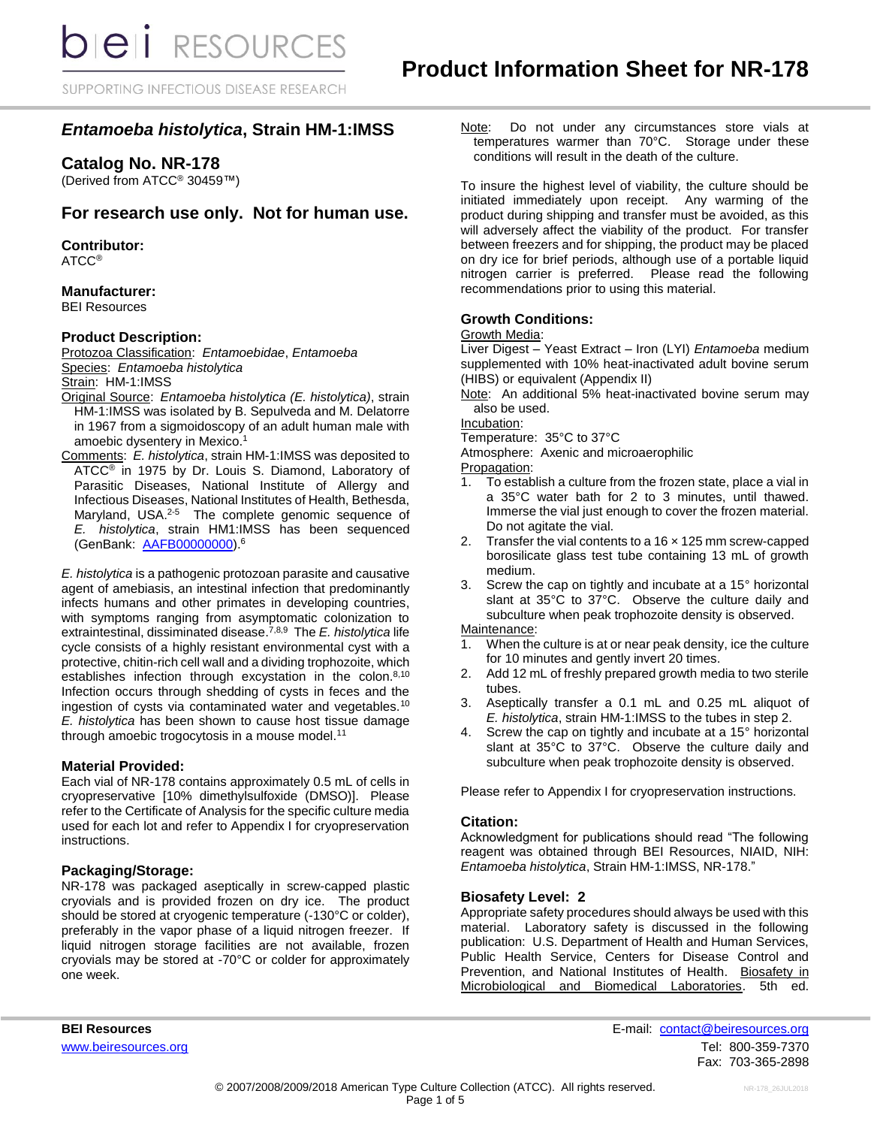SUPPORTING INFECTIOUS DISEASE RESEARCH

# *Entamoeba histolytica***, Strain HM-1:IMSS**

## **Catalog No. NR-178**

(Derived from ATCC® 30459™)

## **For research use only. Not for human use.**

### **Contributor:**

ATCC®

### **Manufacturer:**

BEI Resources

### **Product Description:**

Protozoa Classification: *Entamoebidae*, *Entamoeba* Species: *Entamoeba histolytica*

Strain: HM-1:IMSS

- Original Source: *Entamoeba histolytica (E. histolytica)*, strain HM-1:IMSS was isolated by B. Sepulveda and M. Delatorre in 1967 from a sigmoidoscopy of an adult human male with amoebic dysentery in Mexico. 1
- Comments: *E. histolytica*, strain HM-1:IMSS was deposited to ATCC<sup>®</sup> in 1975 by Dr. Louis S. Diamond, Laboratory of Parasitic Diseases, National Institute of Allergy and Infectious Diseases, National Institutes of Health, Bethesda, Maryland, USA.<sup>2-5</sup> The complete genomic sequence of *E. histolytica*, strain HM1:IMSS has been sequenced (GenBank: [AAFB00000000\)](https://www.ncbi.nlm.nih.gov/nuccore/AAFB00000000.2/).<sup>6</sup>

*E. histolytica* is a pathogenic protozoan parasite and causative agent of amebiasis, an intestinal infection that predominantly infects humans and other primates in developing countries, with symptoms ranging from asymptomatic colonization to extraintestinal, dissiminated disease. 7,8,9 The *E. histolytica* life cycle consists of a highly resistant environmental cyst with a protective, chitin-rich cell wall and a dividing trophozoite, which establishes infection through excystation in the colon.<sup>8,10</sup> Infection occurs through shedding of cysts in feces and the ingestion of cysts via contaminated water and vegetables.<sup>10</sup> *E. histolytica* has been shown to cause host tissue damage through amoebic trogocytosis in a mouse model.<sup>11</sup>

#### **Material Provided:**

Each vial of NR-178 contains approximately 0.5 mL of cells in cryopreservative [10% dimethylsulfoxide (DMSO)]. Please refer to the Certificate of Analysis for the specific culture media used for each lot and refer to Appendix I for cryopreservation instructions.

#### **Packaging/Storage:**

NR-178 was packaged aseptically in screw-capped plastic cryovials and is provided frozen on dry ice. The product should be stored at cryogenic temperature (-130°C or colder), preferably in the vapor phase of a liquid nitrogen freezer. If liquid nitrogen storage facilities are not available, frozen cryovials may be stored at -70°C or colder for approximately one week.

Note: Do not under any circumstances store vials at temperatures warmer than 70°C. Storage under these conditions will result in the death of the culture.

To insure the highest level of viability, the culture should be initiated immediately upon receipt. Any warming of the product during shipping and transfer must be avoided, as this will adversely affect the viability of the product. For transfer between freezers and for shipping, the product may be placed on dry ice for brief periods, although use of a portable liquid nitrogen carrier is preferred. Please read the following recommendations prior to using this material.

### **Growth Conditions:**

Growth Media:

Liver Digest – Yeast Extract – Iron (LYI) *Entamoeba* medium supplemented with 10% heat-inactivated adult bovine serum (HIBS) or equivalent (Appendix II)

Note: An additional 5% heat-inactivated bovine serum may also be used.

Incubation:

Temperature: 35°C to 37°C

Atmosphere: Axenic and microaerophilic

Propagation:

- 1. To establish a culture from the frozen state, place a vial in a 35°C water bath for 2 to 3 minutes, until thawed. Immerse the vial just enough to cover the frozen material. Do not agitate the vial.
- 2. Transfer the vial contents to a  $16 \times 125$  mm screw-capped borosilicate glass test tube containing 13 mL of growth medium.
- 3. Screw the cap on tightly and incubate at a 15° horizontal slant at 35°C to 37°C. Observe the culture daily and subculture when peak trophozoite density is observed.

Maintenance:

- 1. When the culture is at or near peak density, ice the culture for 10 minutes and gently invert 20 times.
- 2. Add 12 mL of freshly prepared growth media to two sterile tubes.
- 3. Aseptically transfer a 0.1 mL and 0.25 mL aliquot of *E. histolytica*, strain HM-1:IMSS to the tubes in step 2.
- 4. Screw the cap on tightly and incubate at a 15° horizontal slant at 35°C to 37°C. Observe the culture daily and subculture when peak trophozoite density is observed.

Please refer to Appendix I for cryopreservation instructions.

### **Citation:**

Acknowledgment for publications should read "The following reagent was obtained through BEI Resources, NIAID, NIH: *Entamoeba histolytica*, Strain HM-1:IMSS, NR-178."

### **Biosafety Level: 2**

Appropriate safety procedures should always be used with this material. Laboratory safety is discussed in the following publication: U.S. Department of Health and Human Services, Public Health Service, Centers for Disease Control and Prevention, and National Institutes of Health. Biosafety in Microbiological and Biomedical Laboratories. 5th ed.

**BEI Resources** E-mail: [contact@beiresources.org](mailto:contact@beiresources.org) [www.beiresources.org](http://www.beiresources.org/)Tel: 800-359-7370 Fax: 703-365-2898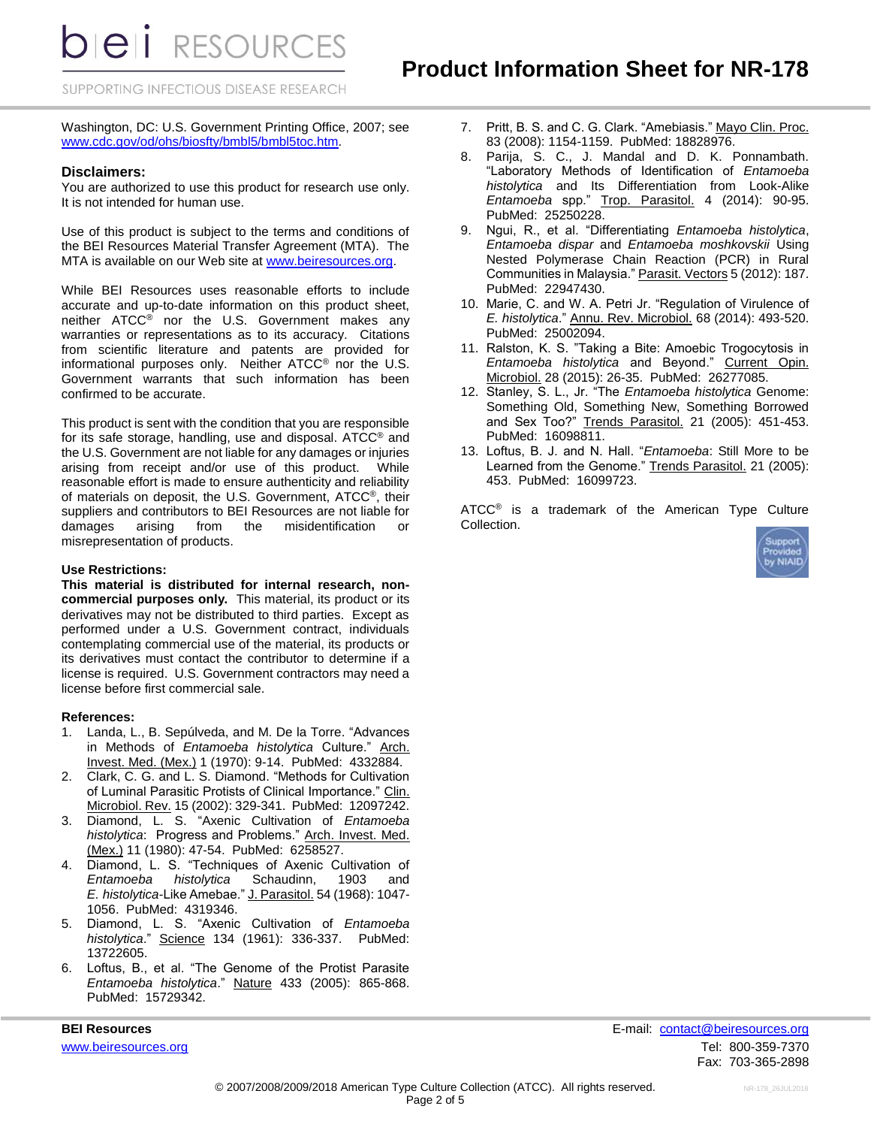**bieli** RESOURCES

SUPPORTING INFECTIOUS DISEASE RESEARCH

Washington, DC: U.S. Government Printing Office, 2007; see [www.cdc.gov/od/ohs/biosfty/bmbl5/bmbl5toc.htm.](http://www.cdc.gov/od/ohs/biosfty/bmbl5/bmbl5toc.htm)

#### **Disclaimers:**

You are authorized to use this product for research use only. It is not intended for human use.

Use of this product is subject to the terms and conditions of the BEI Resources Material Transfer Agreement (MTA). The MTA is available on our Web site at [www.beiresources.org.](http://www.beiresources.org/)

While BEI Resources uses reasonable efforts to include accurate and up-to-date information on this product sheet, neither ATCC® nor the U.S. Government makes any warranties or representations as to its accuracy. Citations from scientific literature and patents are provided for informational purposes only. Neither ATCC® nor the U.S. Government warrants that such information has been confirmed to be accurate.

This product is sent with the condition that you are responsible for its safe storage, handling, use and disposal. ATCC® and the U.S. Government are not liable for any damages or injuries arising from receipt and/or use of this product. While reasonable effort is made to ensure authenticity and reliability of materials on deposit, the U.S. Government, ATCC®, their suppliers and contributors to BEI Resources are not liable for damages arising from the misidentification or misrepresentation of products.

#### **Use Restrictions:**

**This material is distributed for internal research, noncommercial purposes only.** This material, its product or its derivatives may not be distributed to third parties. Except as performed under a U.S. Government contract, individuals contemplating commercial use of the material, its products or its derivatives must contact the contributor to determine if a license is required. U.S. Government contractors may need a license before first commercial sale.

#### **References:**

- 1. Landa, L., B. Sepúlveda, and M. De la Torre. "Advances in Methods of *Entamoeba histolytica* Culture." Arch. Invest. Med. (Mex.) 1 (1970): 9-14. PubMed: 4332884.
- 2. Clark, C. G. and L. S. Diamond. "Methods for Cultivation of Luminal Parasitic Protists of Clinical Importance." Clin. Microbiol. Rev. 15 (2002): 329-341. PubMed: 12097242.
- 3. Diamond, L. S. "Axenic Cultivation of *Entamoeba histolytica*: Progress and Problems." Arch. Invest. Med. (Mex.) 11 (1980): 47-54. PubMed: 6258527.
- 4. Diamond, L. S. "Techniques of Axenic Cultivation of *Entamoeba histolytica* Schaudinn, 1903 and *E. histolytica*-Like Amebae." J. Parasitol. 54 (1968): 1047- 1056. PubMed: 4319346.
- 5. Diamond, L. S. "Axenic Cultivation of *Entamoeba histolytica*." Science 134 (1961): 336-337. PubMed: 13722605.
- 6. Loftus, B., et al. "The Genome of the Protist Parasite *Entamoeba histolytica*." Nature 433 (2005): 865-868. PubMed: 15729342.

- 7. Pritt, B. S. and C. G. Clark. "Amebiasis." Mayo Clin. Proc. 83 (2008): 1154-1159. PubMed: 18828976.
- 8. Parija, S. C., J. Mandal and D. K. Ponnambath. "Laboratory Methods of Identification of *Entamoeba histolytica* and Its Differentiation from Look-Alike *Entamoeba* spp." Trop. Parasitol. 4 (2014): 90-95. PubMed: 25250228.
- 9. Ngui, R., et al. "Differentiating *Entamoeba histolytica*, *Entamoeba dispar* and *Entamoeba moshkovskii* Using Nested Polymerase Chain Reaction (PCR) in Rural Communities in Malaysia." Parasit. Vectors 5 (2012): 187. PubMed: 22947430.
- 10. Marie, C. and W. A. Petri Jr. "Regulation of Virulence of *E. histolytica*." Annu. Rev. Microbiol. 68 (2014): 493-520. PubMed: 25002094.
- 11. Ralston, K. S. "Taking a Bite: Amoebic Trogocytosis in *Entamoeba histolytica* and Beyond." Current Opin. Microbiol. 28 (2015): 26-35. PubMed: 26277085.
- 12. Stanley, S. L., Jr. "The *Entamoeba histolytica* Genome: Something Old, Something New, Something Borrowed and Sex Too?" Trends Parasitol. 21 (2005): 451-453. PubMed: 16098811.
- 13. Loftus, B. J. and N. Hall. "*Entamoeba*: Still More to be Learned from the Genome." Trends Parasitol. 21 (2005): 453. PubMed: 16099723.

ATCC<sup>®</sup> is a trademark of the American Type Culture Collection.



**BEI Resources** E-mail: [contact@beiresources.org](mailto:contact@beiresources.org) [www.beiresources.org](http://www.beiresources.org/)Tel: 800-359-7370 Fax: 703-365-2898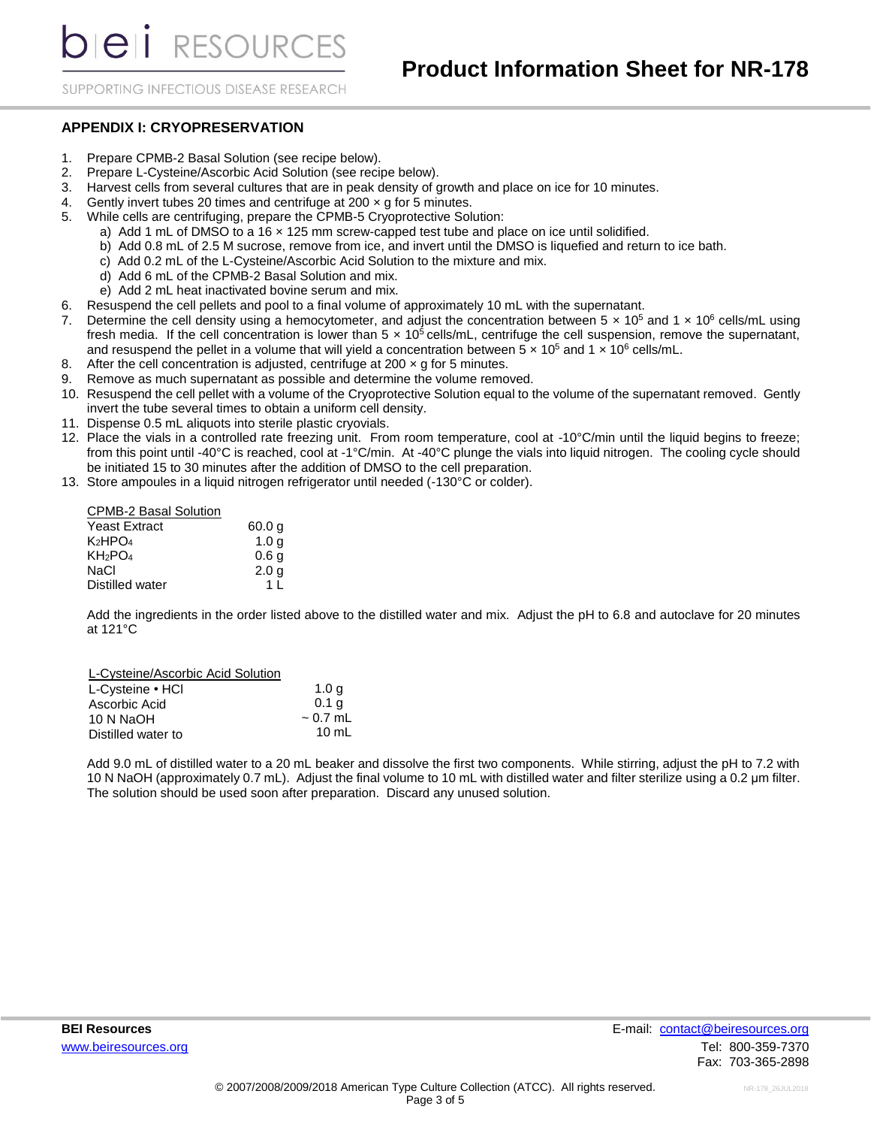*DIEI RESOURCES* 

SUPPORTING INFECTIOUS DISEASE RESEARCH

#### **APPENDIX I: CRYOPRESERVATION**

- 1. Prepare CPMB-2 Basal Solution (see recipe below).
- 2. Prepare L-Cysteine/Ascorbic Acid Solution (see recipe below).
- 3. Harvest cells from several cultures that are in peak density of growth and place on ice for 10 minutes.
- 4. Gently invert tubes 20 times and centrifuge at 200  $\times$  g for 5 minutes.
- 5. While cells are centrifuging, prepare the CPMB-5 Cryoprotective Solution:
	- a) Add 1 mL of DMSO to a 16 × 125 mm screw-capped test tube and place on ice until solidified.
	- b) Add 0.8 mL of 2.5 M sucrose, remove from ice, and invert until the DMSO is liquefied and return to ice bath.
	- c) Add 0.2 mL of the L-Cysteine/Ascorbic Acid Solution to the mixture and mix.
	- d) Add 6 mL of the CPMB-2 Basal Solution and mix.
	- e) Add 2 mL heat inactivated bovine serum and mix.
- 6. Resuspend the cell pellets and pool to a final volume of approximately 10 mL with the supernatant.
- 7. Determine the cell density using a hemocytometer, and adjust the concentration between  $5 \times 10^5$  and  $1 \times 10^6$  cells/mL using fresh media. If the cell concentration is lower than  $5 \times 10^5$  cells/mL, centrifuge the cell suspension, remove the supernatant, and resuspend the pellet in a volume that will yield a concentration between  $5 \times 10^5$  and  $1 \times 10^6$  cells/mL.
- 8. After the cell concentration is adjusted, centrifuge at 200  $\times$  q for 5 minutes.
- 9. Remove as much supernatant as possible and determine the volume removed.
- 10. Resuspend the cell pellet with a volume of the Cryoprotective Solution equal to the volume of the supernatant removed. Gently invert the tube several times to obtain a uniform cell density.
- 11. Dispense 0.5 mL aliquots into sterile plastic cryovials.
- 12. Place the vials in a controlled rate freezing unit. From room temperature, cool at -10°C/min until the liquid begins to freeze; from this point until -40°C is reached, cool at -1°C/min. At -40°C plunge the vials into liquid nitrogen. The cooling cycle should be initiated 15 to 30 minutes after the addition of DMSO to the cell preparation.
- 13. Store ampoules in a liquid nitrogen refrigerator until needed (-130°C or colder).

| <b>CPMB-2 Basal Solution</b>    |                  |
|---------------------------------|------------------|
| <b>Yeast Extract</b>            | 60.0 q           |
| K2HPO4                          | 1.0 <sub>q</sub> |
| KH <sub>2</sub> PO <sub>4</sub> | 0.6 <sub>g</sub> |
| NaCl                            | 2.0 <sub>g</sub> |
| Distilled water                 | 1 <sup>1</sup>   |

Add the ingredients in the order listed above to the distilled water and mix. Adjust the pH to 6.8 and autoclave for 20 minutes at 121°C

| L-Cysteine/Ascorbic Acid Solution |                  |
|-----------------------------------|------------------|
| L-Cysteine • HCI                  | 1.0 <sub>q</sub> |
| Ascorbic Acid                     | 0.1 <sub>a</sub> |
| 10 N NaOH                         | $\sim 0.7$ mL    |
| Distilled water to                | $10 \text{ mL}$  |

Add 9.0 mL of distilled water to a 20 mL beaker and dissolve the first two components. While stirring, adjust the pH to 7.2 with 10 N NaOH (approximately 0.7 mL). Adjust the final volume to 10 mL with distilled water and filter sterilize using a 0.2 μm filter. The solution should be used soon after preparation. Discard any unused solution.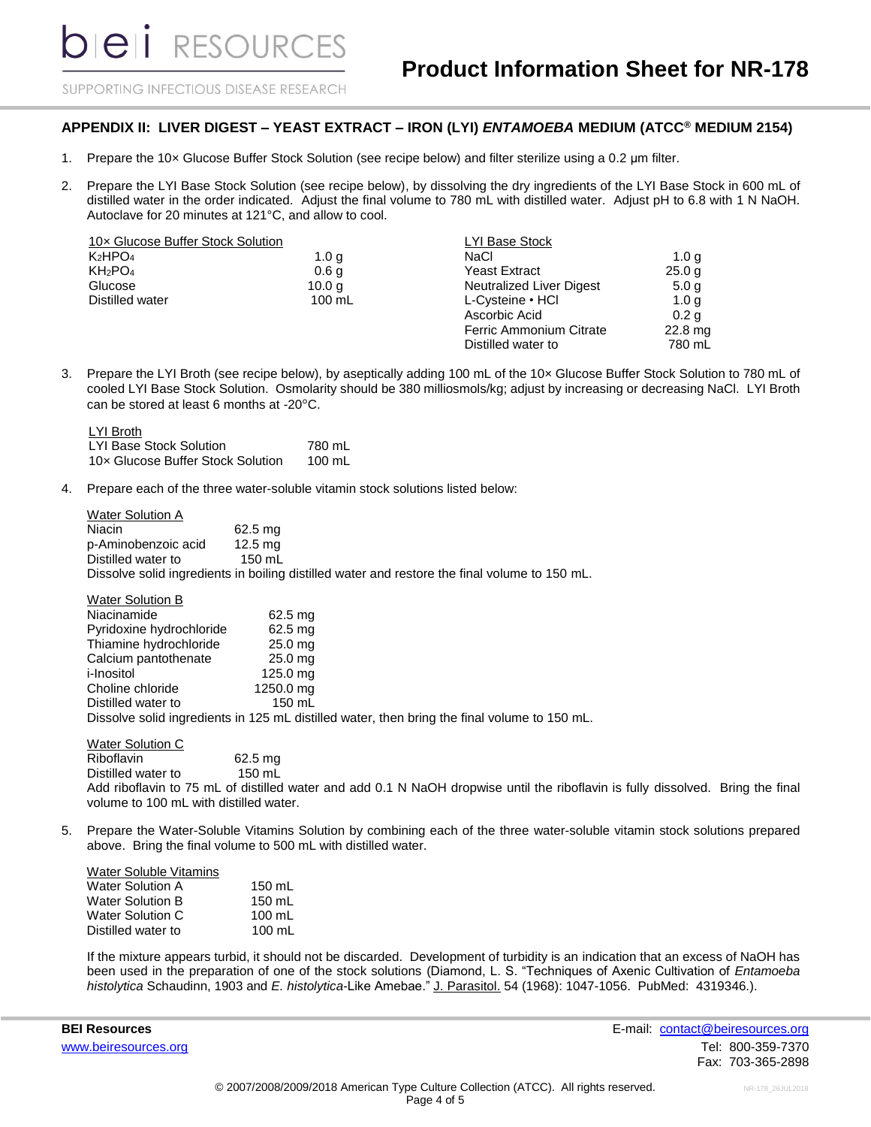beli RESOURCES

SUPPORTING INFECTIOUS DISEASE RESEARCH

### **APPENDIX II: LIVER DIGEST – YEAST EXTRACT – IRON (LYI)** *ENTAMOEBA* **MEDIUM (ATCC® MEDIUM 2154)**

- 1. Prepare the 10× Glucose Buffer Stock Solution (see recipe below) and filter sterilize using a 0.2 μm filter.
- 2. Prepare the LYI Base Stock Solution (see recipe below), by dissolving the dry ingredients of the LYI Base Stock in 600 mL of distilled water in the order indicated. Adjust the final volume to 780 mL with distilled water. Adjust pH to 6.8 with 1 N NaOH. Autoclave for 20 minutes at 121°C, and allow to cool.

| 10x Glucose Buffer Stock Solution |                   | LYI Base Stock           |                  |
|-----------------------------------|-------------------|--------------------------|------------------|
| K <sub>2</sub> HPO <sub>4</sub>   | 1.0 g             | NaCl                     | 1.0 <sub>q</sub> |
| KH <sub>2</sub> PO <sub>4</sub>   | 0.6 <sub>g</sub>  | Yeast Extract            | 25.0 g           |
| Glucose                           | 10.0 <sub>q</sub> | Neutralized Liver Digest | 5.0 <sub>q</sub> |
| Distilled water                   | $100 \text{ mL}$  | L-Cysteine • HCI         | 1.0 <sub>q</sub> |
|                                   |                   | Ascorbic Acid            | 0.2 <sub>q</sub> |
|                                   |                   | Ferric Ammonium Citrate  | $22.8$ mg        |
|                                   |                   | Distilled water to       | 780 mL           |

3. Prepare the LYI Broth (see recipe below), by aseptically adding 100 mL of the 10× Glucose Buffer Stock Solution to 780 mL of cooled LYI Base Stock Solution. Osmolarity should be 380 milliosmols/kg; adjust by increasing or decreasing NaCl. LYI Broth can be stored at least 6 months at -20°C.

LYI Broth LYI Base Stock Solution 10× Glucose Buffer Stock Solution 780 mL 100 mL

4. Prepare each of the three water-soluble vitamin stock solutions listed below:

| <b>Water Solution A</b> |                                                                                               |
|-------------------------|-----------------------------------------------------------------------------------------------|
| Niacin                  | $62.5$ mg                                                                                     |
| p-Aminobenzoic acid     | $12.5$ mg                                                                                     |
| Distilled water to      | $150$ mL                                                                                      |
|                         | Dissolve solid ingredients in boiling distilled water and restore the final volume to 150 mL. |
|                         |                                                                                               |
| <b>Water Solution B</b> |                                                                                               |
| Niacinamide             | 62.5 mg                                                                                       |

| <b>THUUTHUTH</b>         | 04.0 HN           |                                                                                              |
|--------------------------|-------------------|----------------------------------------------------------------------------------------------|
| Pyridoxine hydrochloride | $62.5 \text{ mg}$ |                                                                                              |
| Thiamine hydrochloride   | 25.0 mg           |                                                                                              |
| Calcium pantothenate     | 25.0 mg           |                                                                                              |
| i-Inositol               | 125.0 mg          |                                                                                              |
| Choline chloride         | 1250.0 mg         |                                                                                              |
| Distilled water to       | $150$ mL          |                                                                                              |
|                          |                   | Dissolve solid ingredients in 125 mL distilled water, then bring the final volume to 150 mL. |
|                          |                   |                                                                                              |

Water Solution C Riboflavin Distilled water to 62.5 mg 150 mL Add riboflavin to 75 mL of distilled water and add 0.1 N NaOH dropwise until the riboflavin is fully dissolved. Bring the final volume to 100 mL with distilled water.

5. Prepare the Water-Soluble Vitamins Solution by combining each of the three water-soluble vitamin stock solutions prepared above. Bring the final volume to 500 mL with distilled water.

| Water Soluble Vitamins |                  |
|------------------------|------------------|
| Water Solution A       | 150 mL           |
| Water Solution B       | 150 mL           |
| Water Solution C       | $100 \text{ mL}$ |
| Distilled water to     | $100 \text{ mL}$ |

If the mixture appears turbid, it should not be discarded. Development of turbidity is an indication that an excess of NaOH has been used in the preparation of one of the stock solutions (Diamond, L. S. "Techniques of Axenic Cultivation of *Entamoeba histolytica* Schaudinn, 1903 and *E. histolytica*-Like Amebae." J. Parasitol. 54 (1968): 1047-1056. PubMed: 4319346.).

**BEI Resources** E-mail: [contact@beiresources.org](mailto:contact@beiresources.org) [www.beiresources.org](http://www.beiresources.org/)Tel: 800-359-7370 Fax: 703-365-2898